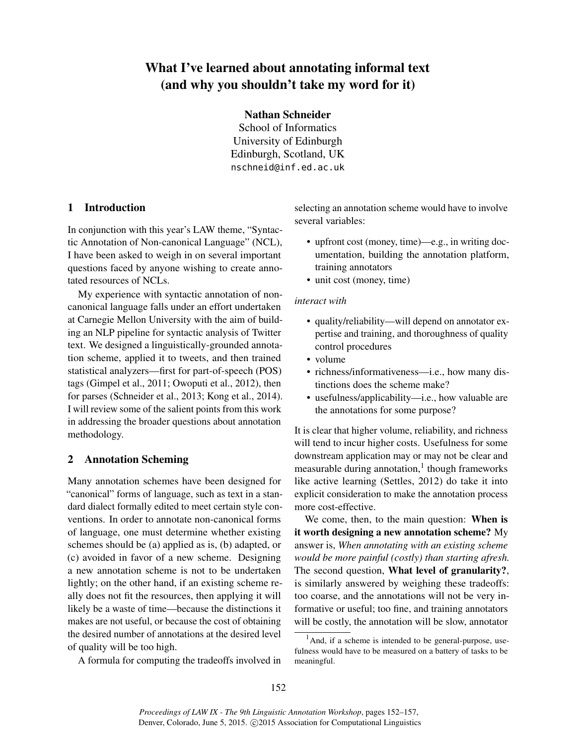# What I've learned about annotating informal text (and why you shouldn't take my word for it)

### Nathan Schneider

School of Informatics University of Edinburgh Edinburgh, Scotland, UK nschneid@inf.ed.ac.uk

# 1 Introduction

In conjunction with this year's LAW theme, "Syntactic Annotation of Non-canonical Language" (NCL), I have been asked to weigh in on several important questions faced by anyone wishing to create annotated resources of NCLs.

My experience with syntactic annotation of noncanonical language falls under an effort undertaken at Carnegie Mellon University with the aim of building an NLP pipeline for syntactic analysis of Twitter text. We designed a linguistically-grounded annotation scheme, applied it to tweets, and then trained statistical analyzers—first for part-of-speech (POS) tags (Gimpel et al., 2011; Owoputi et al., 2012), then for parses (Schneider et al., 2013; Kong et al., 2014). I will review some of the salient points from this work in addressing the broader questions about annotation methodology.

### 2 Annotation Scheming

Many annotation schemes have been designed for "canonical" forms of language, such as text in a standard dialect formally edited to meet certain style conventions. In order to annotate non-canonical forms of language, one must determine whether existing schemes should be (a) applied as is, (b) adapted, or (c) avoided in favor of a new scheme. Designing a new annotation scheme is not to be undertaken lightly; on the other hand, if an existing scheme really does not fit the resources, then applying it will likely be a waste of time—because the distinctions it makes are not useful, or because the cost of obtaining the desired number of annotations at the desired level of quality will be too high.

A formula for computing the tradeoffs involved in

selecting an annotation scheme would have to involve several variables:

- upfront cost (money, time)—e.g., in writing documentation, building the annotation platform, training annotators
- unit cost (money, time)

#### *interact with*

- quality/reliability—will depend on annotator expertise and training, and thoroughness of quality control procedures
- volume
- richness/informativeness—i.e., how many distinctions does the scheme make?
- usefulness/applicability—i.e., how valuable are the annotations for some purpose?

It is clear that higher volume, reliability, and richness will tend to incur higher costs. Usefulness for some downstream application may or may not be clear and measurable during annotation,<sup>1</sup> though frameworks like active learning (Settles, 2012) do take it into explicit consideration to make the annotation process more cost-effective.

We come, then, to the main question: When is it worth designing a new annotation scheme? My answer is, *When annotating with an existing scheme would be more painful (costly) than starting afresh.* The second question, What level of granularity?, is similarly answered by weighing these tradeoffs: too coarse, and the annotations will not be very informative or useful; too fine, and training annotators will be costly, the annotation will be slow, annotator

 $<sup>1</sup>$ And, if a scheme is intended to be general-purpose, use-</sup> fulness would have to be measured on a battery of tasks to be meaningful.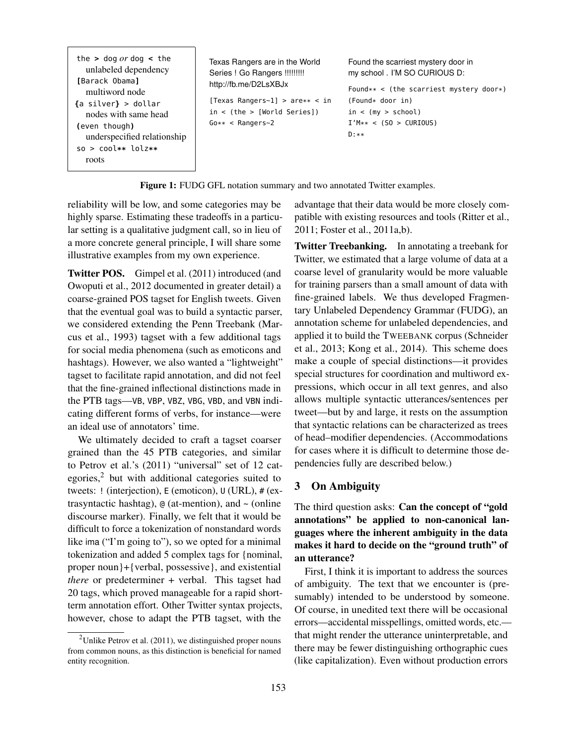Figure 1: FUDG GFL notation summary and two annotated Twitter examples.

reliability will be low, and some categories may be highly sparse. Estimating these tradeoffs in a particular setting is a qualitative judgment call, so in lieu of a more concrete general principle, I will share some illustrative examples from my own experience.

Twitter POS. Gimpel et al. (2011) introduced (and Owoputi et al., 2012 documented in greater detail) a coarse-grained POS tagset for English tweets. Given that the eventual goal was to build a syntactic parser, we considered extending the Penn Treebank (Marcus et al., 1993) tagset with a few additional tags for social media phenomena (such as emoticons and hashtags). However, we also wanted a "lightweight" tagset to facilitate rapid annotation, and did not feel that the fine-grained inflectional distinctions made in the PTB tags—VB, VBP, VBZ, VBG, VBD, and VBN indicating different forms of verbs, for instance—were an ideal use of annotators' time.

We ultimately decided to craft a tagset coarser grained than the 45 PTB categories, and similar to Petrov et al.'s (2011) "universal" set of 12 categories, $2$  but with additional categories suited to tweets: ! (interjection), E (emoticon), U (URL), # (extrasyntactic hashtag), @ (at-mention), and ~ (online discourse marker). Finally, we felt that it would be difficult to force a tokenization of nonstandard words like ima ("I'm going to"), so we opted for a minimal tokenization and added 5 complex tags for {nominal, proper noun}+{verbal, possessive}, and existential *there* or predeterminer + verbal. This tagset had 20 tags, which proved manageable for a rapid shortterm annotation effort. Other Twitter syntax projects, however, chose to adapt the PTB tagset, with the

<sup>2</sup>Unlike Petrov et al.  $(2011)$ , we distinguished proper nouns from common nouns, as this distinction is beneficial for named entity recognition.

advantage that their data would be more closely compatible with existing resources and tools (Ritter et al., 2011; Foster et al., 2011a,b).

Twitter Treebanking. In annotating a treebank for Twitter, we estimated that a large volume of data at a coarse level of granularity would be more valuable for training parsers than a small amount of data with fine-grained labels. We thus developed Fragmentary Unlabeled Dependency Grammar (FUDG), an annotation scheme for unlabeled dependencies, and applied it to build the TWEEBANK corpus (Schneider et al., 2013; Kong et al., 2014). This scheme does make a couple of special distinctions—it provides special structures for coordination and multiword expressions, which occur in all text genres, and also allows multiple syntactic utterances/sentences per tweet—but by and large, it rests on the assumption that syntactic relations can be characterized as trees of head–modifier dependencies. (Accommodations for cases where it is difficult to determine those dependencies fully are described below.)

# 3 On Ambiguity

The third question asks: Can the concept of "gold annotations" be applied to non-canonical languages where the inherent ambiguity in the data makes it hard to decide on the "ground truth" of an utterance?

First, I think it is important to address the sources of ambiguity. The text that we encounter is (presumably) intended to be understood by someone. Of course, in unedited text there will be occasional errors—accidental misspellings, omitted words, etc. that might render the utterance uninterpretable, and there may be fewer distinguishing orthographic cues (like capitalization). Even without production errors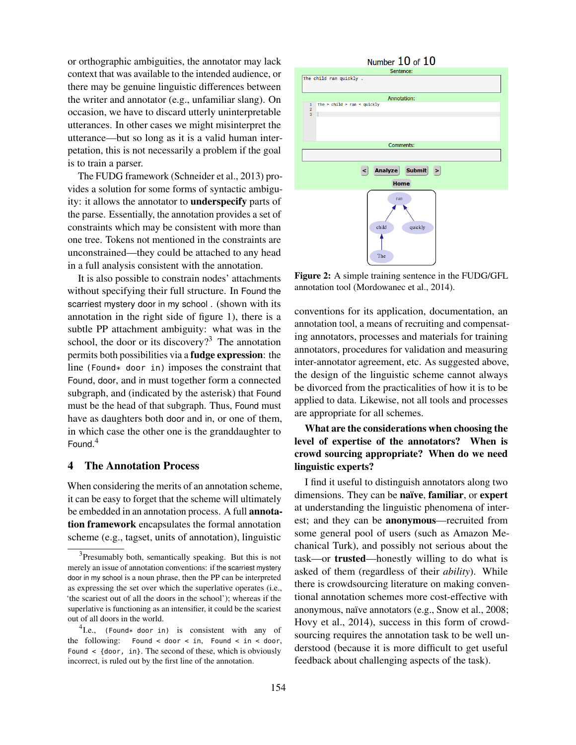or orthographic ambiguities, the annotator may lack context that was available to the intended audience, or there may be genuine linguistic differences between the writer and annotator (e.g., unfamiliar slang). On occasion, we have to discard utterly uninterpretable utterances. In other cases we might misinterpret the utterance—but so long as it is a valid human interpetation, this is not necessarily a problem if the goal is to train a parser.

The FUDG framework (Schneider et al., 2013) provides a solution for some forms of syntactic ambiguity: it allows the annotator to underspecify parts of the parse. Essentially, the annotation provides a set of constraints which may be consistent with more than one tree. Tokens not mentioned in the constraints are unconstrained—they could be attached to any head in a full analysis consistent with the annotation.

It is also possible to constrain nodes' attachments without specifying their full structure. In Found the scarriest mystery door in my school . (shown with its annotation in the right side of figure 1), there is a subtle PP attachment ambiguity: what was in the school, the door or its discovery?<sup>3</sup> The annotation permits both possibilities via a fudge expression: the line (Found\* door in) imposes the constraint that Found, door, and in must together form a connected subgraph, and (indicated by the asterisk) that Found must be the head of that subgraph. Thus, Found must have as daughters both door and in, or one of them, in which case the other one is the granddaughter to Found. 4

# 4 The Annotation Process

When considering the merits of an annotation scheme, it can be easy to forget that the scheme will ultimately be embedded in an annotation process. A full annotation framework encapsulates the formal annotation scheme (e.g., tagset, units of annotation), linguistic



Figure 2: A simple training sentence in the FUDG/GFL annotation tool (Mordowanec et al., 2014).

conventions for its application, documentation, an annotation tool, a means of recruiting and compensating annotators, processes and materials for training annotators, procedures for validation and measuring inter-annotator agreement, etc. As suggested above, the design of the linguistic scheme cannot always be divorced from the practicalities of how it is to be applied to data. Likewise, not all tools and processes are appropriate for all schemes.

# What are the considerations when choosing the level of expertise of the annotators? When is crowd sourcing appropriate? When do we need linguistic experts?

I find it useful to distinguish annotators along two dimensions. They can be naïve, familiar, or expert at understanding the linguistic phenomena of interest; and they can be anonymous—recruited from some general pool of users (such as Amazon Mechanical Turk), and possibly not serious about the task—or trusted—honestly willing to do what is asked of them (regardless of their *ability*). While there is crowdsourcing literature on making conventional annotation schemes more cost-effective with anonymous, naïve annotators (e.g., Snow et al., 2008; Hovy et al., 2014), success in this form of crowdsourcing requires the annotation task to be well understood (because it is more difficult to get useful feedback about challenging aspects of the task).

<sup>&</sup>lt;sup>3</sup>Presumably both, semantically speaking. But this is not merely an issue of annotation conventions: if the scarriest mystery door in my school is a noun phrase, then the PP can be interpreted as expressing the set over which the superlative operates (i.e., 'the scariest out of all the doors in the school'); whereas if the superlative is functioning as an intensifier, it could be the scariest out of all doors in the world.

 ${}^{4}$ I.e., (Found\* door in) is consistent with any of the following: Found < door < in, Found < in < door, Found  $\leq$  {door, in}. The second of these, which is obviously incorrect, is ruled out by the first line of the annotation.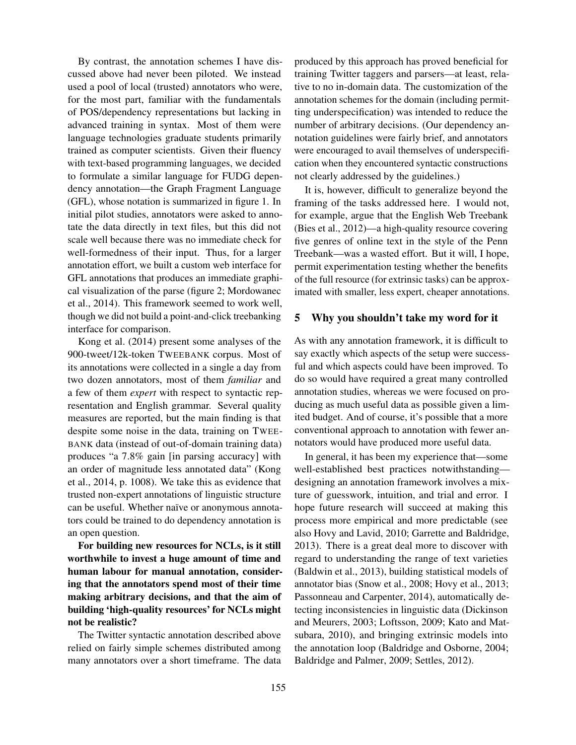By contrast, the annotation schemes I have discussed above had never been piloted. We instead used a pool of local (trusted) annotators who were, for the most part, familiar with the fundamentals of POS/dependency representations but lacking in advanced training in syntax. Most of them were language technologies graduate students primarily trained as computer scientists. Given their fluency with text-based programming languages, we decided to formulate a similar language for FUDG dependency annotation—the Graph Fragment Language (GFL), whose notation is summarized in figure 1. In initial pilot studies, annotators were asked to annotate the data directly in text files, but this did not scale well because there was no immediate check for well-formedness of their input. Thus, for a larger annotation effort, we built a custom web interface for GFL annotations that produces an immediate graphical visualization of the parse (figure 2; Mordowanec et al., 2014). This framework seemed to work well, though we did not build a point-and-click treebanking interface for comparison.

Kong et al. (2014) present some analyses of the 900-tweet/12k-token TWEEBANK corpus. Most of its annotations were collected in a single a day from two dozen annotators, most of them *familiar* and a few of them *expert* with respect to syntactic representation and English grammar. Several quality measures are reported, but the main finding is that despite some noise in the data, training on TWEE-BANK data (instead of out-of-domain training data) produces "a 7.8% gain [in parsing accuracy] with an order of magnitude less annotated data" (Kong et al., 2014, p. 1008). We take this as evidence that trusted non-expert annotations of linguistic structure can be useful. Whether naïve or anonymous annotators could be trained to do dependency annotation is an open question.

For building new resources for NCLs, is it still worthwhile to invest a huge amount of time and human labour for manual annotation, considering that the annotators spend most of their time making arbitrary decisions, and that the aim of building 'high-quality resources' for NCLs might not be realistic?

The Twitter syntactic annotation described above relied on fairly simple schemes distributed among many annotators over a short timeframe. The data produced by this approach has proved beneficial for training Twitter taggers and parsers—at least, relative to no in-domain data. The customization of the annotation schemes for the domain (including permitting underspecification) was intended to reduce the number of arbitrary decisions. (Our dependency annotation guidelines were fairly brief, and annotators were encouraged to avail themselves of underspecification when they encountered syntactic constructions not clearly addressed by the guidelines.)

It is, however, difficult to generalize beyond the framing of the tasks addressed here. I would not, for example, argue that the English Web Treebank (Bies et al., 2012)—a high-quality resource covering five genres of online text in the style of the Penn Treebank—was a wasted effort. But it will, I hope, permit experimentation testing whether the benefits of the full resource (for extrinsic tasks) can be approximated with smaller, less expert, cheaper annotations.

#### 5 Why you shouldn't take my word for it

As with any annotation framework, it is difficult to say exactly which aspects of the setup were successful and which aspects could have been improved. To do so would have required a great many controlled annotation studies, whereas we were focused on producing as much useful data as possible given a limited budget. And of course, it's possible that a more conventional approach to annotation with fewer annotators would have produced more useful data.

In general, it has been my experience that—some well-established best practices notwithstanding designing an annotation framework involves a mixture of guesswork, intuition, and trial and error. I hope future research will succeed at making this process more empirical and more predictable (see also Hovy and Lavid, 2010; Garrette and Baldridge, 2013). There is a great deal more to discover with regard to understanding the range of text varieties (Baldwin et al., 2013), building statistical models of annotator bias (Snow et al., 2008; Hovy et al., 2013; Passonneau and Carpenter, 2014), automatically detecting inconsistencies in linguistic data (Dickinson and Meurers, 2003; Loftsson, 2009; Kato and Matsubara, 2010), and bringing extrinsic models into the annotation loop (Baldridge and Osborne, 2004; Baldridge and Palmer, 2009; Settles, 2012).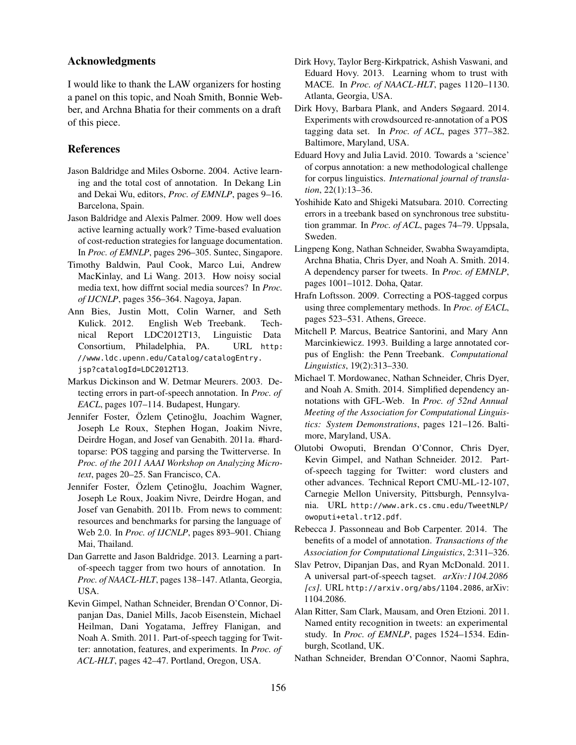## Acknowledgments

I would like to thank the LAW organizers for hosting a panel on this topic, and Noah Smith, Bonnie Webber, and Archna Bhatia for their comments on a draft of this piece.

#### References

- Jason Baldridge and Miles Osborne. 2004. Active learning and the total cost of annotation. In Dekang Lin and Dekai Wu, editors, *Proc. of EMNLP*, pages 9–16. Barcelona, Spain.
- Jason Baldridge and Alexis Palmer. 2009. How well does active learning actually work? Time-based evaluation of cost-reduction strategies for language documentation. In *Proc. of EMNLP*, pages 296–305. Suntec, Singapore.
- Timothy Baldwin, Paul Cook, Marco Lui, Andrew MacKinlay, and Li Wang. 2013. How noisy social media text, how diffrnt social media sources? In *Proc. of IJCNLP*, pages 356–364. Nagoya, Japan.
- Ann Bies, Justin Mott, Colin Warner, and Seth Kulick. 2012. English Web Treebank. Technical Report LDC2012T13, Linguistic Data Consortium, Philadelphia, PA. URL http: //www.ldc.upenn.edu/Catalog/catalogEntry. jsp?catalogId=LDC2012T13.
- Markus Dickinson and W. Detmar Meurers. 2003. Detecting errors in part-of-speech annotation. In *Proc. of EACL*, pages 107–114. Budapest, Hungary.
- Jennifer Foster, Özlem Cetinoğlu, Joachim Wagner, Joseph Le Roux, Stephen Hogan, Joakim Nivre, Deirdre Hogan, and Josef van Genabith. 2011a. #hardtoparse: POS tagging and parsing the Twitterverse. In *Proc. of the 2011 AAAI Workshop on Analyzing Microtext*, pages 20–25. San Francisco, CA.
- Jennifer Foster, Özlem Çetinoğlu, Joachim Wagner, Joseph Le Roux, Joakim Nivre, Deirdre Hogan, and Josef van Genabith. 2011b. From news to comment: resources and benchmarks for parsing the language of Web 2.0. In *Proc. of IJCNLP*, pages 893–901. Chiang Mai, Thailand.
- Dan Garrette and Jason Baldridge. 2013. Learning a partof-speech tagger from two hours of annotation. In *Proc. of NAACL-HLT*, pages 138–147. Atlanta, Georgia, USA.
- Kevin Gimpel, Nathan Schneider, Brendan O'Connor, Dipanjan Das, Daniel Mills, Jacob Eisenstein, Michael Heilman, Dani Yogatama, Jeffrey Flanigan, and Noah A. Smith. 2011. Part-of-speech tagging for Twitter: annotation, features, and experiments. In *Proc. of ACL-HLT*, pages 42–47. Portland, Oregon, USA.
- Dirk Hovy, Taylor Berg-Kirkpatrick, Ashish Vaswani, and Eduard Hovy. 2013. Learning whom to trust with MACE. In *Proc. of NAACL-HLT*, pages 1120–1130. Atlanta, Georgia, USA.
- Dirk Hovy, Barbara Plank, and Anders Søgaard. 2014. Experiments with crowdsourced re-annotation of a POS tagging data set. In *Proc. of ACL*, pages 377–382. Baltimore, Maryland, USA.
- Eduard Hovy and Julia Lavid. 2010. Towards a 'science' of corpus annotation: a new methodological challenge for corpus linguistics. *International journal of translation*, 22(1):13–36.
- Yoshihide Kato and Shigeki Matsubara. 2010. Correcting errors in a treebank based on synchronous tree substitution grammar. In *Proc. of ACL*, pages 74–79. Uppsala, Sweden.
- Lingpeng Kong, Nathan Schneider, Swabha Swayamdipta, Archna Bhatia, Chris Dyer, and Noah A. Smith. 2014. A dependency parser for tweets. In *Proc. of EMNLP*, pages 1001–1012. Doha, Qatar.
- Hrafn Loftsson. 2009. Correcting a POS-tagged corpus using three complementary methods. In *Proc. of EACL*, pages 523–531. Athens, Greece.
- Mitchell P. Marcus, Beatrice Santorini, and Mary Ann Marcinkiewicz. 1993. Building a large annotated corpus of English: the Penn Treebank. *Computational Linguistics*, 19(2):313–330.
- Michael T. Mordowanec, Nathan Schneider, Chris Dyer, and Noah A. Smith. 2014. Simplified dependency annotations with GFL-Web. In *Proc. of 52nd Annual Meeting of the Association for Computational Linguistics: System Demonstrations*, pages 121–126. Baltimore, Maryland, USA.
- Olutobi Owoputi, Brendan O'Connor, Chris Dyer, Kevin Gimpel, and Nathan Schneider. 2012. Partof-speech tagging for Twitter: word clusters and other advances. Technical Report CMU-ML-12-107, Carnegie Mellon University, Pittsburgh, Pennsylvania. URL http://www.ark.cs.cmu.edu/TweetNLP/ owoputi+etal.tr12.pdf.
- Rebecca J. Passonneau and Bob Carpenter. 2014. The benefits of a model of annotation. *Transactions of the Association for Computational Linguistics*, 2:311–326.
- Slav Petrov, Dipanjan Das, and Ryan McDonald. 2011. A universal part-of-speech tagset. *arXiv:1104.2086 [cs]*. URL http://arxiv.org/abs/1104.2086, arXiv: 1104.2086.
- Alan Ritter, Sam Clark, Mausam, and Oren Etzioni. 2011. Named entity recognition in tweets: an experimental study. In *Proc. of EMNLP*, pages 1524–1534. Edinburgh, Scotland, UK.
- Nathan Schneider, Brendan O'Connor, Naomi Saphra,